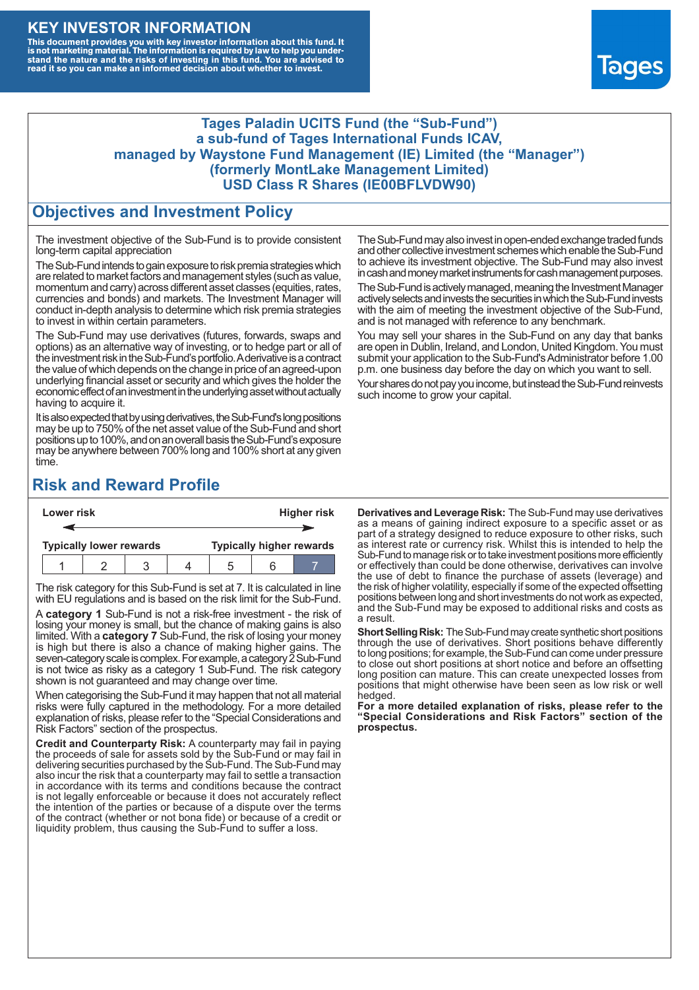### **KEY INVESTOR INFORMATION**

This document provides you with key investor information about this fund. It<br>is not marketing material. The information is required by law to help you under-<br>stand the nature and the risks of investing in this fund. You ar



#### **Tages Paladin UCITS Fund (the "Sub-Fund") a sub-fund of Tages International Funds ICAV, managed by Waystone Fund Management (IE) Limited (the "Manager") (formerly MontLake Management Limited) USD Class R Shares (IE00BFLVDW90)**

### **Objectives and Investment Policy**

The investment objective of the Sub-Fund is to provide consistent long-term capital appreciation

The Sub-Fund intends to gain exposure to risk premia strategies which are related to market factors and management styles (such as value, momentum and carry) across different asset classes (equities, rates, currencies and bonds) and markets. The Investment Manager will conduct in-depth analysis to determine which risk premia strategies to invest in within certain parameters.

The Sub-Fund may use derivatives (futures, forwards, swaps and options) as an alternative way of investing, or to hedge part or all of the investment risk intheSub-Fund's portfolio.Aderivative is a contract the value of which depends on the change in price of an agreed-upon underlying financial asset or security and which gives the holder the economic effect of an investment in the underlying asset without actually having to acquire it.

It is also expected that by using derivatives, the Sub-Fund's long positions may be up to 750% of the net asset value of the Sub-Fund and short positions up to 100%, and on an overall basis the Sub-Fund's exposure may be anywhere between 700% long and 100% short at any given time.

The Sub-Fund may also invest in open-ended exchange traded funds and other collective investment schemes which enable the Sub-Fund to achieve its investment objective. The Sub-Fund may also invest in cash and money market instruments for cash management purposes.

The Sub-Fund is actively managed, meaning the Investment Manager actively selects and invests the securities in which the Sub-Fund invests with the aim of meeting the investment objective of the Sub-Fund, and is not managed with reference to any benchmark.

You may sell your shares in the Sub-Fund on any day that banks are open in Dublin, Ireland, and London, United Kingdom. You must submit your application to the Sub-Fund's Administrator before 1.00 p.m. one business day before the day on which you want to sell.

Your shares do not pay you income, but instead the Sub-Fund reinvests such income to grow your capital.

# **Risk and Reward Profile**

| Lower risk |                                |  |  |  | <b>Higher risk</b>              |     |  |  |
|------------|--------------------------------|--|--|--|---------------------------------|-----|--|--|
|            |                                |  |  |  |                                 |     |  |  |
|            | <b>Typically lower rewards</b> |  |  |  | <b>Typically higher rewards</b> |     |  |  |
|            |                                |  |  |  |                                 | ี่ค |  |  |

The risk category for this Sub-Fund is set at 7. It is calculated in line with EU regulations and is based on the risk limit for the Sub-Fund.

A **category 1** Sub-Fund is not a risk-free investment - the risk of losing your money is small, but the chance of making gains is also limited. With a **category 7** Sub-Fund, the risk of losing your money is high but there is also a chance of making higher gains. The seven-category scale is complex. For example, a category 2 Sub-Fund is not twice as risky as a category 1 Sub-Fund. The risk category shown is not guaranteed and may change over time.

When categorising the Sub-Fund it may happen that not all material risks were fully captured in the methodology. For a more detailed explanation of risks, please refer to the "Special Considerations and Risk Factors" section of the prospectus.

**Credit and Counterparty Risk:** A counterparty may fail in paying the proceeds of sale for assets sold by the Sub-Fund or may fail in delivering securities purchased by the Sub-Fund. The Sub-Fund may also incur the risk that a counterparty may fail to settle a transaction in accordance with its terms and conditions because the contract is not legally enforceable or because it does not accurately reflect the intention of the parties or because of a dispute over the terms of the contract (whether or not bona fide) or because of a credit or liquidity problem, thus causing the Sub-Fund to suffer a loss.

**Derivatives and Leverage Risk:** The Sub-Fund may use derivatives as a means of gaining indirect exposure to a specific asset or as part of a strategy designed to reduce exposure to other risks, such as interest rate or currency risk. Whilst this is intended to help the Sub-Fund to manage risk or to take investment positions more efficiently or effectively than could be done otherwise, derivatives can involve the use of debt to finance the purchase of assets (leverage) and the risk of higher volatility, especially if some of the expected offsetting positions between long and short investments do not work as expected, and the Sub-Fund may be exposed to additional risks and costs as a result.

**Short Selling Risk:** The Sub-Fund may create synthetic short positions through the use of derivatives. Short positions behave differently to long positions; for example, the Sub-Fund can come under pressure to close out short positions at short notice and before an offsetting long position can mature. This can create unexpected losses from positions that might otherwise have been seen as low risk or well hedged.

**For a more detailed explanation of risks, please refer to the "Special Considerations and Risk Factors" section of the prospectus.**